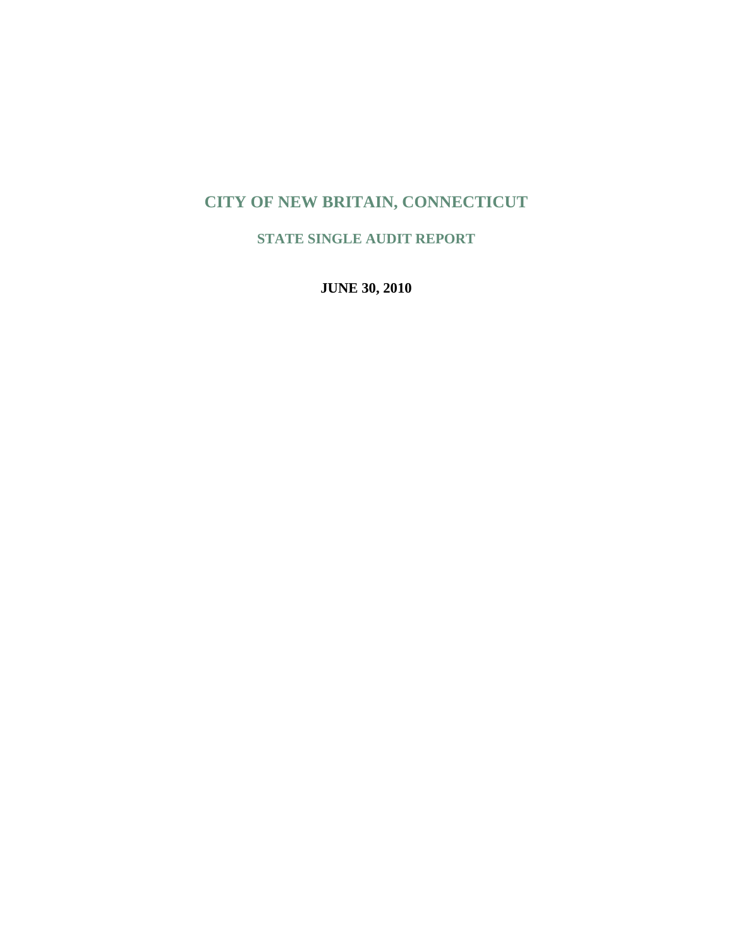# **CITY OF NEW BRITAIN, CONNECTICUT**

**STATE SINGLE AUDIT REPORT** 

**JUNE 30, 2010**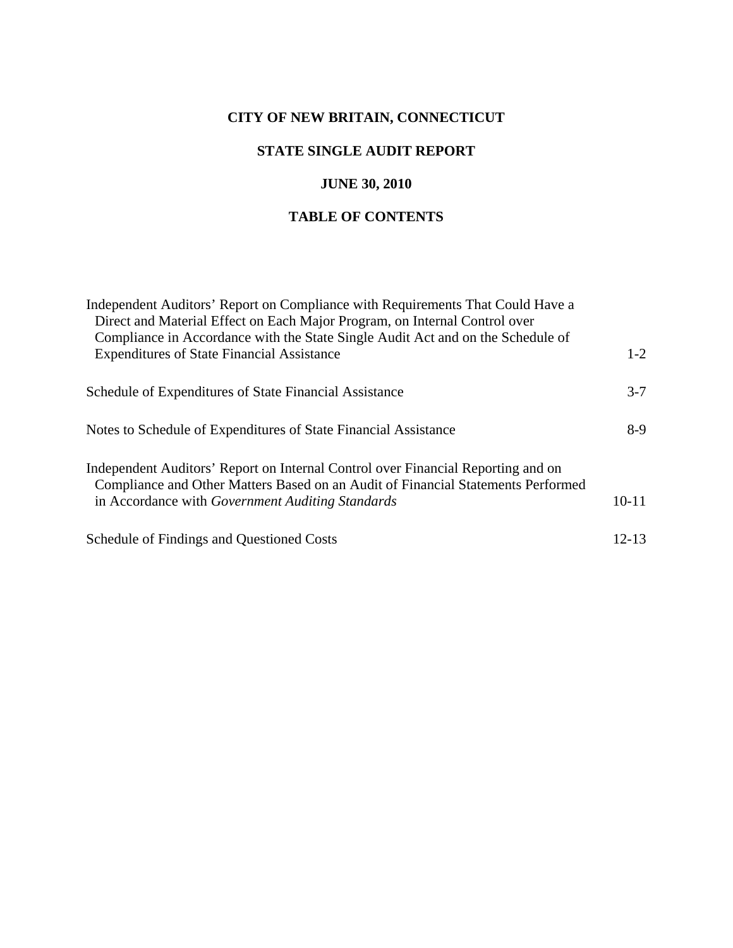## **CITY OF NEW BRITAIN, CONNECTICUT**

## **STATE SINGLE AUDIT REPORT**

## **JUNE 30, 2010**

## **TABLE OF CONTENTS**

| Independent Auditors' Report on Compliance with Requirements That Could Have a<br>Direct and Material Effect on Each Major Program, on Internal Control over         |           |
|----------------------------------------------------------------------------------------------------------------------------------------------------------------------|-----------|
| Compliance in Accordance with the State Single Audit Act and on the Schedule of                                                                                      |           |
| <b>Expenditures of State Financial Assistance</b>                                                                                                                    | $1 - 2$   |
| Schedule of Expenditures of State Financial Assistance                                                                                                               | $3 - 7$   |
| Notes to Schedule of Expenditures of State Financial Assistance                                                                                                      | $8-9$     |
| Independent Auditors' Report on Internal Control over Financial Reporting and on<br>Compliance and Other Matters Based on an Audit of Financial Statements Performed |           |
| in Accordance with Government Auditing Standards                                                                                                                     | $10-11$   |
| Schedule of Findings and Questioned Costs                                                                                                                            | $12 - 13$ |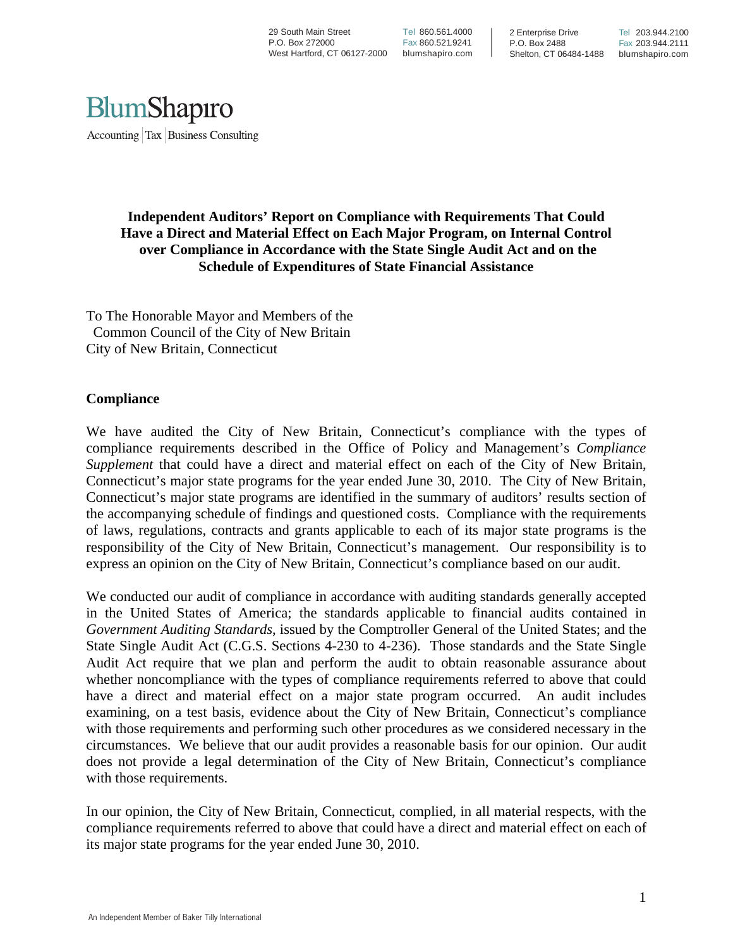29 South Main Street P.O. Box 272000 West Hartford, CT 06127-2000

Tel 860.561.4000 Fax 860.521.9241 blumshapiro.com

2 Enterprise Drive P.O. Box 2488 Shelton, CT 06484-1488



#### **Independent Auditors' Report on Compliance with Requirements That Could Have a Direct and Material Effect on Each Major Program, on Internal Control over Compliance in Accordance with the State Single Audit Act and on the Schedule of Expenditures of State Financial Assistance**

To The Honorable Mayor and Members of the Common Council of the City of New Britain City of New Britain, Connecticut

#### **Compliance**

We have audited the City of New Britain, Connecticut's compliance with the types of compliance requirements described in the Office of Policy and Management's *Compliance Supplement* that could have a direct and material effect on each of the City of New Britain, Connecticut's major state programs for the year ended June 30, 2010. The City of New Britain, Connecticut's major state programs are identified in the summary of auditors' results section of the accompanying schedule of findings and questioned costs. Compliance with the requirements of laws, regulations, contracts and grants applicable to each of its major state programs is the responsibility of the City of New Britain, Connecticut's management. Our responsibility is to express an opinion on the City of New Britain, Connecticut's compliance based on our audit.

We conducted our audit of compliance in accordance with auditing standards generally accepted in the United States of America; the standards applicable to financial audits contained in *Government Auditing Standards*, issued by the Comptroller General of the United States; and the State Single Audit Act (C.G.S. Sections 4-230 to 4-236). Those standards and the State Single Audit Act require that we plan and perform the audit to obtain reasonable assurance about whether noncompliance with the types of compliance requirements referred to above that could have a direct and material effect on a major state program occurred. An audit includes examining, on a test basis, evidence about the City of New Britain, Connecticut's compliance with those requirements and performing such other procedures as we considered necessary in the circumstances. We believe that our audit provides a reasonable basis for our opinion. Our audit does not provide a legal determination of the City of New Britain, Connecticut's compliance with those requirements.

In our opinion, the City of New Britain, Connecticut, complied, in all material respects, with the compliance requirements referred to above that could have a direct and material effect on each of its major state programs for the year ended June 30, 2010.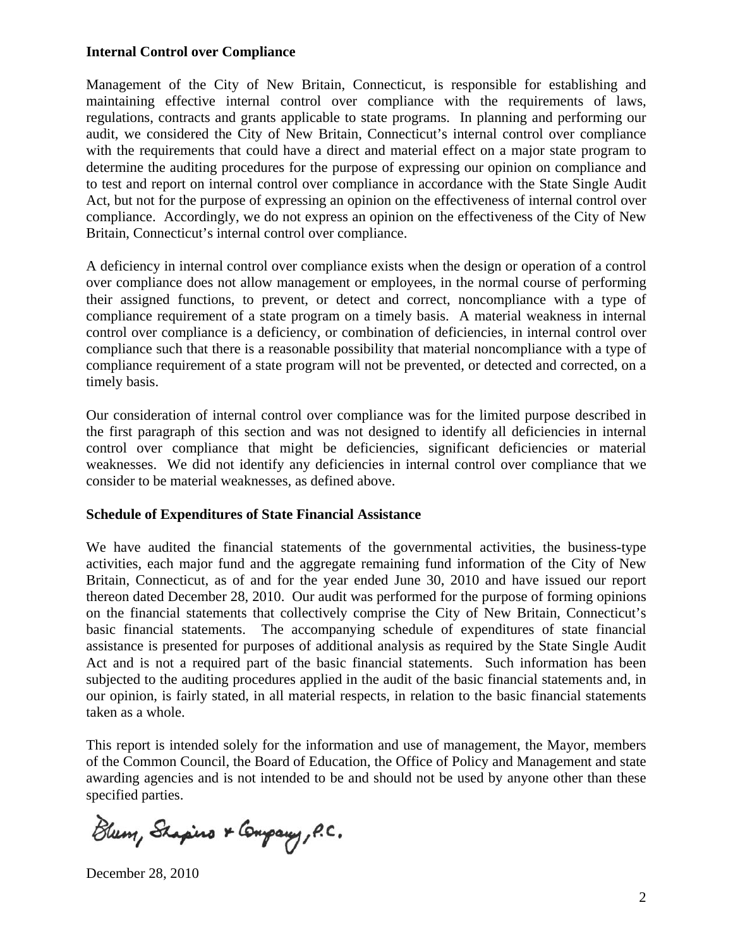#### **Internal Control over Compliance**

Management of the City of New Britain, Connecticut, is responsible for establishing and maintaining effective internal control over compliance with the requirements of laws, regulations, contracts and grants applicable to state programs. In planning and performing our audit, we considered the City of New Britain, Connecticut's internal control over compliance with the requirements that could have a direct and material effect on a major state program to determine the auditing procedures for the purpose of expressing our opinion on compliance and to test and report on internal control over compliance in accordance with the State Single Audit Act, but not for the purpose of expressing an opinion on the effectiveness of internal control over compliance. Accordingly, we do not express an opinion on the effectiveness of the City of New Britain, Connecticut's internal control over compliance.

A deficiency in internal control over compliance exists when the design or operation of a control over compliance does not allow management or employees, in the normal course of performing their assigned functions, to prevent, or detect and correct, noncompliance with a type of compliance requirement of a state program on a timely basis. A material weakness in internal control over compliance is a deficiency, or combination of deficiencies, in internal control over compliance such that there is a reasonable possibility that material noncompliance with a type of compliance requirement of a state program will not be prevented, or detected and corrected, on a timely basis.

Our consideration of internal control over compliance was for the limited purpose described in the first paragraph of this section and was not designed to identify all deficiencies in internal control over compliance that might be deficiencies, significant deficiencies or material weaknesses. We did not identify any deficiencies in internal control over compliance that we consider to be material weaknesses, as defined above.

#### **Schedule of Expenditures of State Financial Assistance**

We have audited the financial statements of the governmental activities, the business-type activities, each major fund and the aggregate remaining fund information of the City of New Britain, Connecticut, as of and for the year ended June 30, 2010 and have issued our report thereon dated December 28, 2010. Our audit was performed for the purpose of forming opinions on the financial statements that collectively comprise the City of New Britain, Connecticut's basic financial statements. The accompanying schedule of expenditures of state financial assistance is presented for purposes of additional analysis as required by the State Single Audit Act and is not a required part of the basic financial statements. Such information has been subjected to the auditing procedures applied in the audit of the basic financial statements and, in our opinion, is fairly stated, in all material respects, in relation to the basic financial statements taken as a whole.

This report is intended solely for the information and use of management, the Mayor, members of the Common Council, the Board of Education, the Office of Policy and Management and state awarding agencies and is not intended to be and should not be used by anyone other than these specified parties.

Blum, Shapino & Company, P.C.

December 28, 2010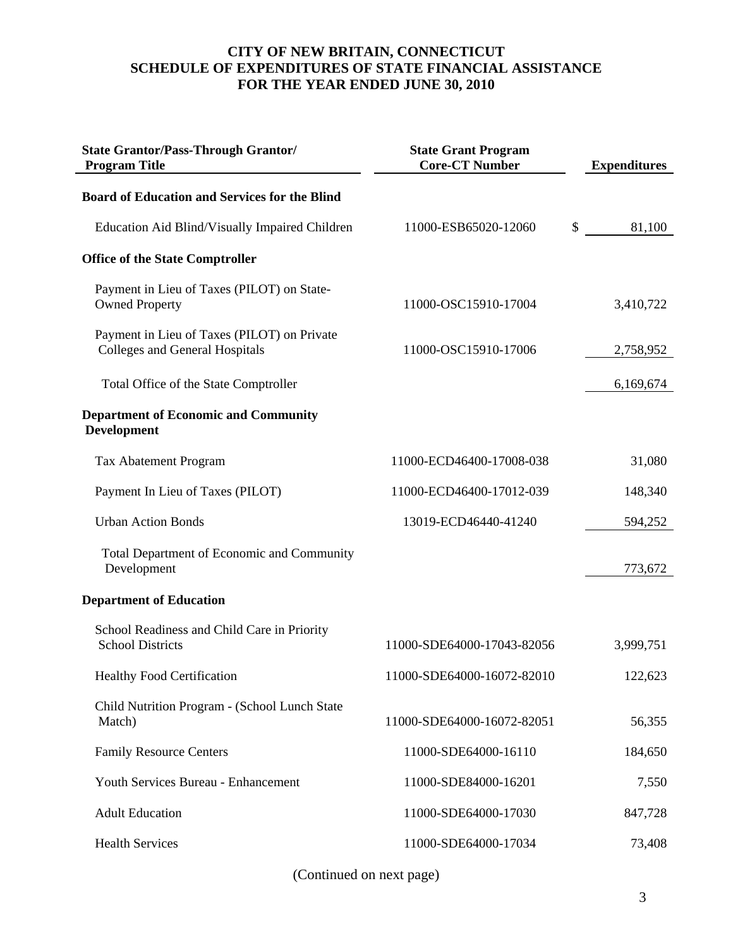| <b>State Grantor/Pass-Through Grantor/</b><br><b>Program Title</b>            | <b>State Grant Program</b><br><b>Core-CT Number</b> | <b>Expenditures</b> |
|-------------------------------------------------------------------------------|-----------------------------------------------------|---------------------|
| <b>Board of Education and Services for the Blind</b>                          |                                                     |                     |
| Education Aid Blind/Visually Impaired Children                                | 11000-ESB65020-12060                                | \$<br>81,100        |
| <b>Office of the State Comptroller</b>                                        |                                                     |                     |
| Payment in Lieu of Taxes (PILOT) on State-<br><b>Owned Property</b>           | 11000-OSC15910-17004                                | 3,410,722           |
| Payment in Lieu of Taxes (PILOT) on Private<br>Colleges and General Hospitals | 11000-OSC15910-17006                                | 2,758,952           |
| Total Office of the State Comptroller                                         |                                                     | 6,169,674           |
| <b>Department of Economic and Community</b><br><b>Development</b>             |                                                     |                     |
| Tax Abatement Program                                                         | 11000-ECD46400-17008-038                            | 31,080              |
| Payment In Lieu of Taxes (PILOT)                                              | 11000-ECD46400-17012-039                            | 148,340             |
| <b>Urban Action Bonds</b>                                                     | 13019-ECD46440-41240                                | 594,252             |
| Total Department of Economic and Community<br>Development                     |                                                     | 773,672             |
| <b>Department of Education</b>                                                |                                                     |                     |
| School Readiness and Child Care in Priority<br><b>School Districts</b>        | 11000-SDE64000-17043-82056                          | 3,999,751           |
| <b>Healthy Food Certification</b>                                             | 11000-SDE64000-16072-82010                          | 122,623             |
| Child Nutrition Program - (School Lunch State<br>Match)                       | 11000-SDE64000-16072-82051                          | 56,355              |
| <b>Family Resource Centers</b>                                                | 11000-SDE64000-16110                                | 184,650             |
| Youth Services Bureau - Enhancement                                           | 11000-SDE84000-16201                                | 7,550               |
| <b>Adult Education</b>                                                        | 11000-SDE64000-17030                                | 847,728             |
| <b>Health Services</b>                                                        | 11000-SDE64000-17034                                | 73,408              |

(Continued on next page)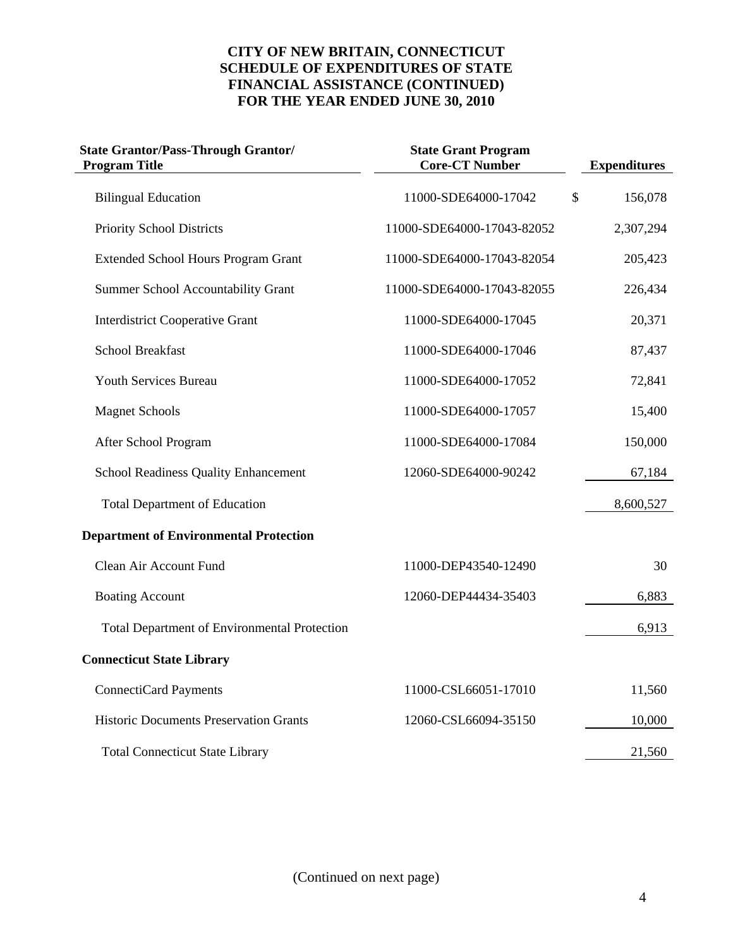| <b>State Grantor/Pass-Through Grantor/</b><br><b>Program Title</b> | <b>State Grant Program</b><br><b>Core-CT Number</b> | <b>Expenditures</b> |
|--------------------------------------------------------------------|-----------------------------------------------------|---------------------|
| <b>Bilingual Education</b>                                         | 11000-SDE64000-17042                                | \$<br>156,078       |
| Priority School Districts                                          | 11000-SDE64000-17043-82052                          | 2,307,294           |
| <b>Extended School Hours Program Grant</b>                         | 11000-SDE64000-17043-82054                          | 205,423             |
| <b>Summer School Accountability Grant</b>                          | 11000-SDE64000-17043-82055                          | 226,434             |
| <b>Interdistrict Cooperative Grant</b>                             | 11000-SDE64000-17045                                | 20,371              |
| <b>School Breakfast</b>                                            | 11000-SDE64000-17046                                | 87,437              |
| Youth Services Bureau                                              | 11000-SDE64000-17052                                | 72,841              |
| <b>Magnet Schools</b>                                              | 11000-SDE64000-17057                                | 15,400              |
| After School Program                                               | 11000-SDE64000-17084                                | 150,000             |
| <b>School Readiness Quality Enhancement</b>                        | 12060-SDE64000-90242                                | 67,184              |
| <b>Total Department of Education</b>                               |                                                     | 8,600,527           |
| <b>Department of Environmental Protection</b>                      |                                                     |                     |
| Clean Air Account Fund                                             | 11000-DEP43540-12490                                | 30                  |
| <b>Boating Account</b>                                             | 12060-DEP44434-35403                                | 6,883               |
| <b>Total Department of Environmental Protection</b>                |                                                     | 6,913               |
| <b>Connecticut State Library</b>                                   |                                                     |                     |
| <b>ConnectiCard Payments</b>                                       | 11000-CSL66051-17010                                | 11,560              |
| <b>Historic Documents Preservation Grants</b>                      | 12060-CSL66094-35150                                | 10,000              |
| <b>Total Connecticut State Library</b>                             |                                                     | 21,560              |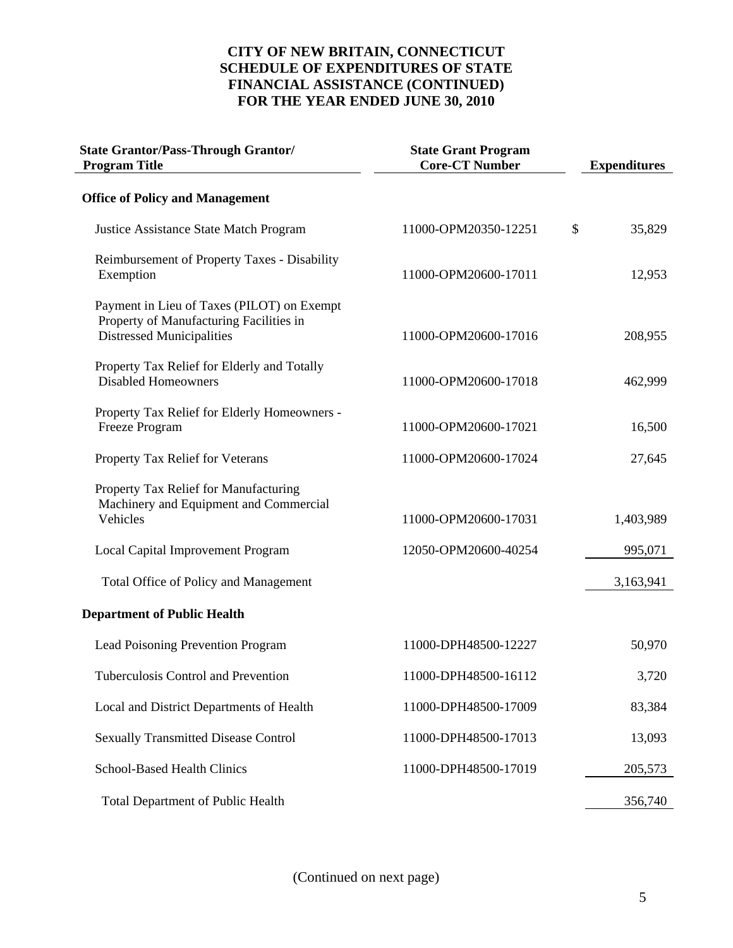| <b>State Grantor/Pass-Through Grantor/</b><br><b>Program Title</b>                                                        | <b>State Grant Program</b><br><b>Core-CT Number</b> | <b>Expenditures</b> |
|---------------------------------------------------------------------------------------------------------------------------|-----------------------------------------------------|---------------------|
| <b>Office of Policy and Management</b>                                                                                    |                                                     |                     |
| <b>Justice Assistance State Match Program</b>                                                                             | 11000-OPM20350-12251                                | \$<br>35,829        |
| Reimbursement of Property Taxes - Disability<br>Exemption                                                                 | 11000-OPM20600-17011                                | 12,953              |
| Payment in Lieu of Taxes (PILOT) on Exempt<br>Property of Manufacturing Facilities in<br><b>Distressed Municipalities</b> | 11000-OPM20600-17016                                | 208,955             |
| Property Tax Relief for Elderly and Totally<br><b>Disabled Homeowners</b>                                                 | 11000-OPM20600-17018                                | 462,999             |
| Property Tax Relief for Elderly Homeowners -<br>Freeze Program                                                            | 11000-OPM20600-17021                                | 16,500              |
| Property Tax Relief for Veterans                                                                                          | 11000-OPM20600-17024                                | 27,645              |
| Property Tax Relief for Manufacturing<br>Machinery and Equipment and Commercial<br>Vehicles                               | 11000-OPM20600-17031                                | 1,403,989           |
| <b>Local Capital Improvement Program</b>                                                                                  | 12050-OPM20600-40254                                | 995,071             |
| Total Office of Policy and Management                                                                                     |                                                     | 3,163,941           |
| <b>Department of Public Health</b>                                                                                        |                                                     |                     |
| Lead Poisoning Prevention Program                                                                                         | 11000-DPH48500-12227                                | 50,970              |
| Tuberculosis Control and Prevention                                                                                       | 11000-DPH48500-16112                                | 3,720               |
| Local and District Departments of Health                                                                                  | 11000-DPH48500-17009                                | 83,384              |
| <b>Sexually Transmitted Disease Control</b>                                                                               | 11000-DPH48500-17013                                | 13,093              |
| School-Based Health Clinics                                                                                               | 11000-DPH48500-17019                                | 205,573             |
| <b>Total Department of Public Health</b>                                                                                  |                                                     | 356,740             |

(Continued on next page)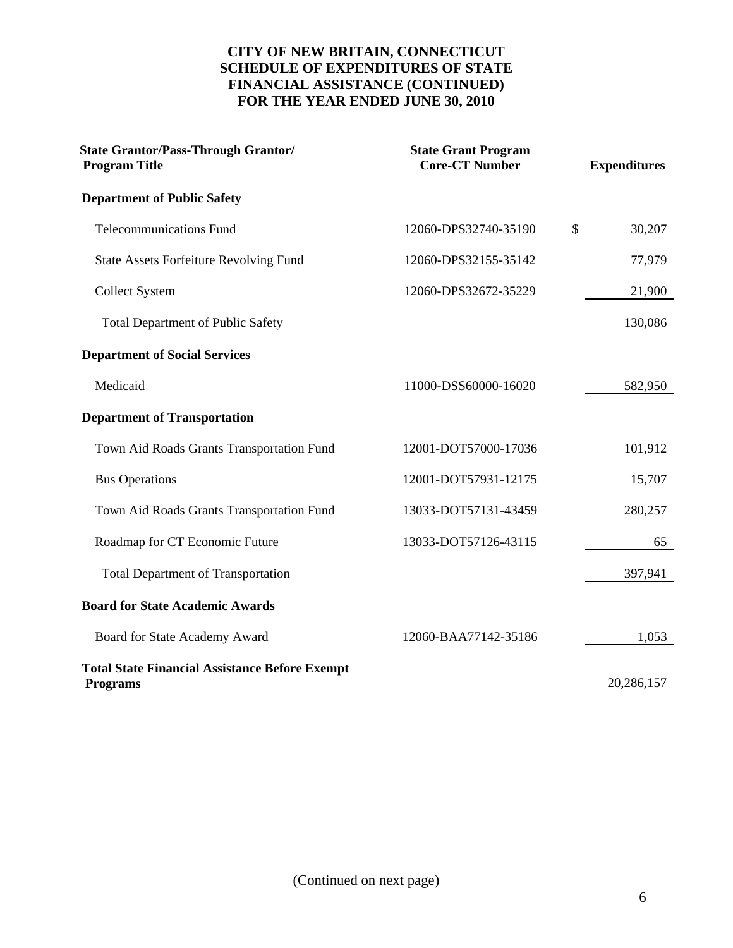| <b>State Grantor/Pass-Through Grantor/</b><br><b>Program Title</b> | <b>State Grant Program</b><br><b>Core-CT Number</b> | <b>Expenditures</b> |
|--------------------------------------------------------------------|-----------------------------------------------------|---------------------|
| <b>Department of Public Safety</b>                                 |                                                     |                     |
| <b>Telecommunications Fund</b>                                     | 12060-DPS32740-35190                                | \$<br>30,207        |
| <b>State Assets Forfeiture Revolving Fund</b>                      | 12060-DPS32155-35142                                | 77,979              |
| <b>Collect System</b>                                              | 12060-DPS32672-35229                                | 21,900              |
| <b>Total Department of Public Safety</b>                           |                                                     | 130,086             |
| <b>Department of Social Services</b>                               |                                                     |                     |
| Medicaid                                                           | 11000-DSS60000-16020                                | 582,950             |
| <b>Department of Transportation</b>                                |                                                     |                     |
| Town Aid Roads Grants Transportation Fund                          | 12001-DOT57000-17036                                | 101,912             |
| <b>Bus Operations</b>                                              | 12001-DOT57931-12175                                | 15,707              |
| Town Aid Roads Grants Transportation Fund                          | 13033-DOT57131-43459                                | 280,257             |
| Roadmap for CT Economic Future                                     | 13033-DOT57126-43115                                | 65                  |
| <b>Total Department of Transportation</b>                          |                                                     | 397,941             |
| <b>Board for State Academic Awards</b>                             |                                                     |                     |
| Board for State Academy Award                                      | 12060-BAA77142-35186                                | 1,053               |
| <b>Total State Financial Assistance Before Exempt</b>              |                                                     |                     |
| <b>Programs</b>                                                    |                                                     | 20,286,157          |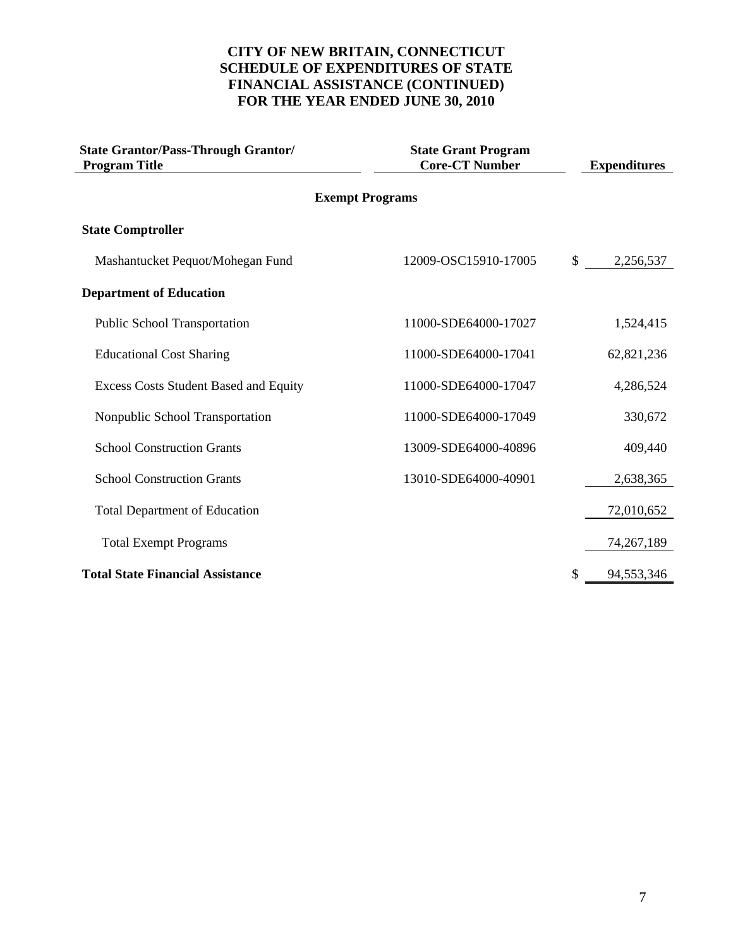| <b>State Grantor/Pass-Through Grantor/</b><br><b>Program Title</b> | <b>State Grant Program</b><br><b>Core-CT Number</b> | <b>Expenditures</b> |
|--------------------------------------------------------------------|-----------------------------------------------------|---------------------|
|                                                                    | <b>Exempt Programs</b>                              |                     |
| <b>State Comptroller</b>                                           |                                                     |                     |
| Mashantucket Pequot/Mohegan Fund                                   | 12009-OSC15910-17005                                | \$<br>2,256,537     |
| <b>Department of Education</b>                                     |                                                     |                     |
| <b>Public School Transportation</b>                                | 11000-SDE64000-17027                                | 1,524,415           |
| <b>Educational Cost Sharing</b>                                    | 11000-SDE64000-17041                                | 62,821,236          |
| <b>Excess Costs Student Based and Equity</b>                       | 11000-SDE64000-17047                                | 4,286,524           |
| Nonpublic School Transportation                                    | 11000-SDE64000-17049                                | 330,672             |
| <b>School Construction Grants</b>                                  | 13009-SDE64000-40896                                | 409,440             |
| <b>School Construction Grants</b>                                  | 13010-SDE64000-40901                                | 2,638,365           |
| <b>Total Department of Education</b>                               |                                                     | 72,010,652          |
| <b>Total Exempt Programs</b>                                       |                                                     | 74, 267, 189        |
| <b>Total State Financial Assistance</b>                            |                                                     | \$<br>94,553,346    |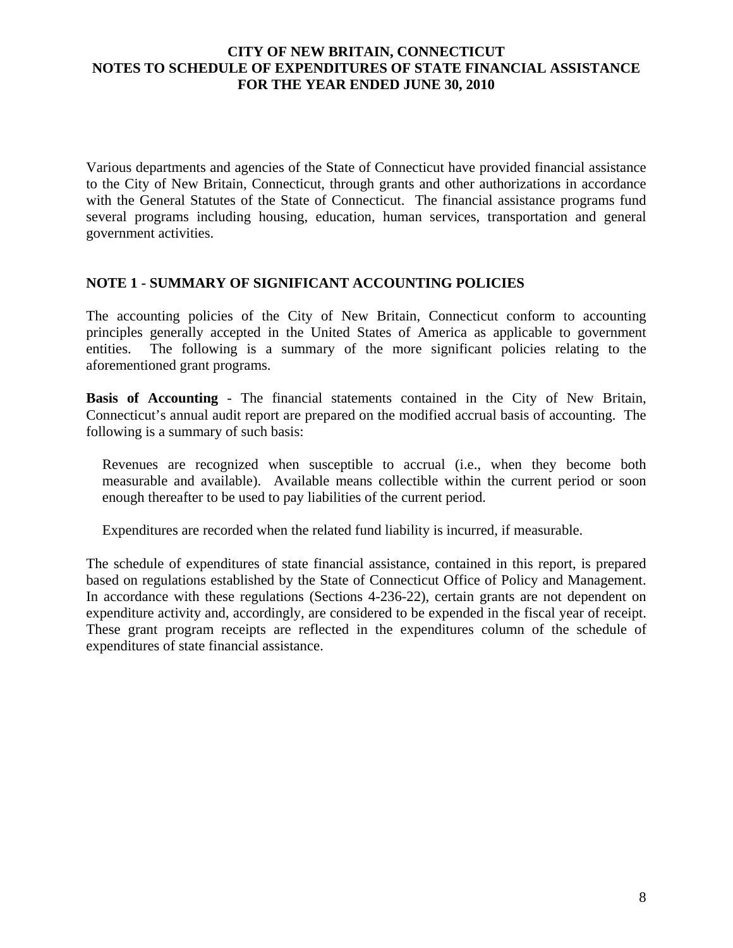Various departments and agencies of the State of Connecticut have provided financial assistance to the City of New Britain, Connecticut, through grants and other authorizations in accordance with the General Statutes of the State of Connecticut. The financial assistance programs fund several programs including housing, education, human services, transportation and general government activities.

#### **NOTE 1 - SUMMARY OF SIGNIFICANT ACCOUNTING POLICIES**

The accounting policies of the City of New Britain, Connecticut conform to accounting principles generally accepted in the United States of America as applicable to government entities. The following is a summary of the more significant policies relating to the aforementioned grant programs.

**Basis of Accounting** - The financial statements contained in the City of New Britain, Connecticut's annual audit report are prepared on the modified accrual basis of accounting. The following is a summary of such basis:

Revenues are recognized when susceptible to accrual (i.e., when they become both measurable and available). Available means collectible within the current period or soon enough thereafter to be used to pay liabilities of the current period.

Expenditures are recorded when the related fund liability is incurred, if measurable.

The schedule of expenditures of state financial assistance, contained in this report, is prepared based on regulations established by the State of Connecticut Office of Policy and Management. In accordance with these regulations (Sections 4-236-22), certain grants are not dependent on expenditure activity and, accordingly, are considered to be expended in the fiscal year of receipt. These grant program receipts are reflected in the expenditures column of the schedule of expenditures of state financial assistance.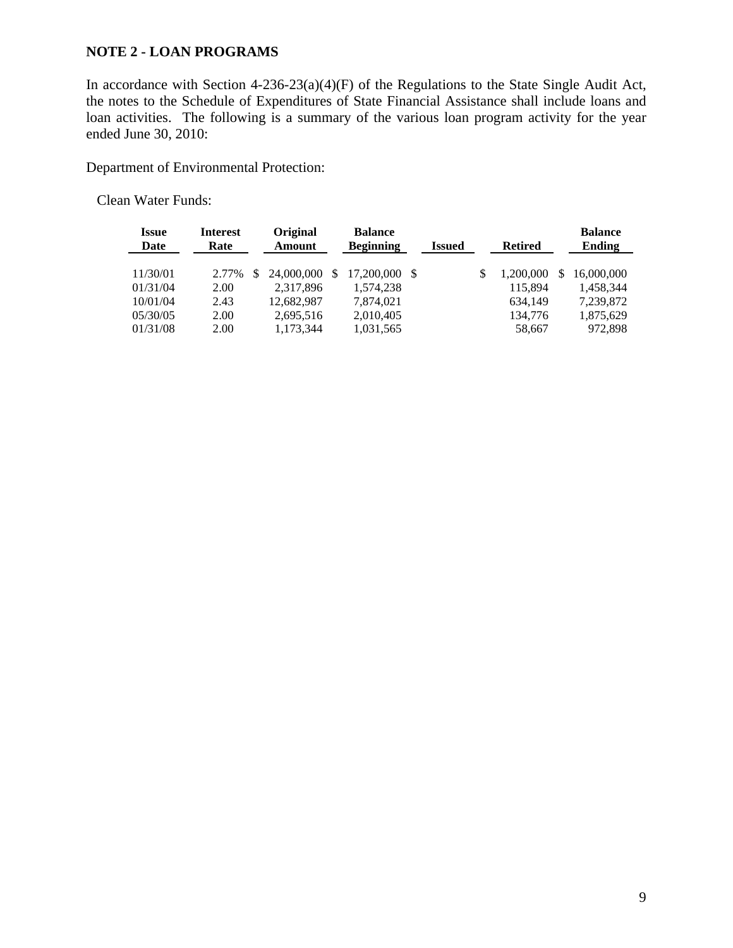#### **NOTE 2 - LOAN PROGRAMS**

In accordance with Section 4-236-23(a)(4)(F) of the Regulations to the State Single Audit Act, the notes to the Schedule of Expenditures of State Financial Assistance shall include loans and loan activities. The following is a summary of the various loan program activity for the year ended June 30, 2010:

Department of Environmental Protection:

Clean Water Funds:

| <i><b>Issue</b></i><br>Date | <b>Interest</b><br>Rate | Original<br>Amount |     | <b>Balance</b><br><b>Beginning</b> | <b>Issued</b> |   | <b>Retired</b> | <b>Balance</b><br>Ending |
|-----------------------------|-------------------------|--------------------|-----|------------------------------------|---------------|---|----------------|--------------------------|
|                             |                         |                    |     |                                    |               |   |                |                          |
| 11/30/01                    | 2.77%                   | 24,000,000         | \$. | 17.200.000 \$                      |               | S | 1,200,000      | 16,000,000               |
| 01/31/04                    | 2.00                    | 2,317,896          |     | 1,574,238                          |               |   | 115,894        | 1,458,344                |
| 10/01/04                    | 2.43                    | 12,682,987         |     | 7,874,021                          |               |   | 634,149        | 7,239,872                |
| 05/30/05                    | 2.00                    | 2,695,516          |     | 2,010,405                          |               |   | 134,776        | 1,875,629                |
| 01/31/08                    | 2.00                    | 1,173,344          |     | 1,031,565                          |               |   | 58,667         | 972,898                  |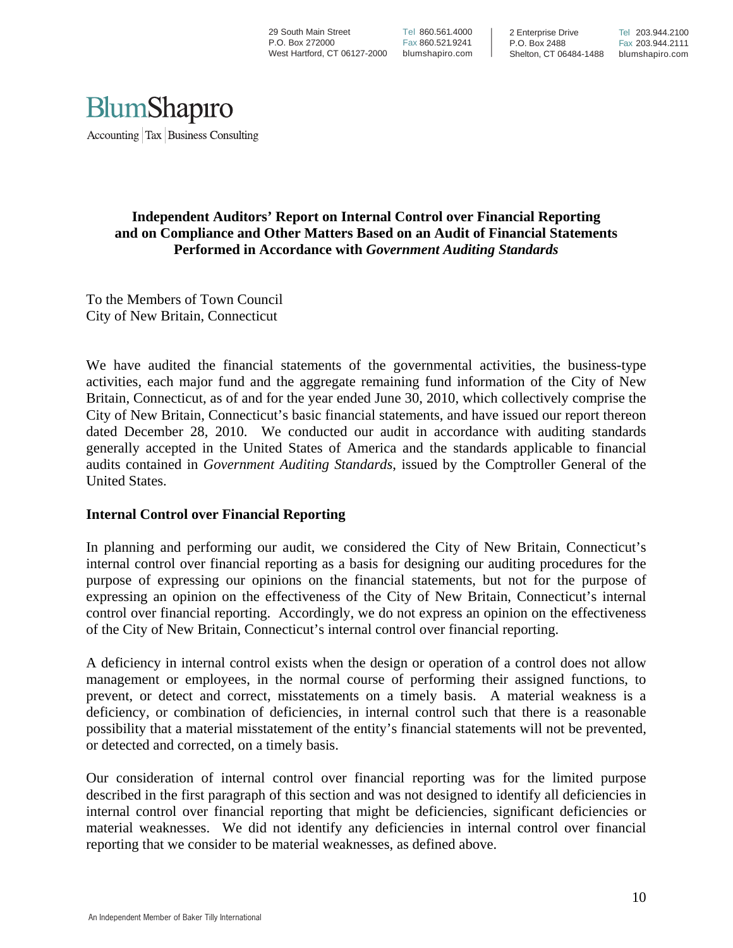

#### **Independent Auditors' Report on Internal Control over Financial Reporting and on Compliance and Other Matters Based on an Audit of Financial Statements Performed in Accordance with** *Government Auditing Standards*

To the Members of Town Council City of New Britain, Connecticut

We have audited the financial statements of the governmental activities, the business-type activities, each major fund and the aggregate remaining fund information of the City of New Britain, Connecticut, as of and for the year ended June 30, 2010, which collectively comprise the City of New Britain, Connecticut's basic financial statements, and have issued our report thereon dated December 28, 2010. We conducted our audit in accordance with auditing standards generally accepted in the United States of America and the standards applicable to financial audits contained in *Government Auditing Standards*, issued by the Comptroller General of the United States.

#### **Internal Control over Financial Reporting**

In planning and performing our audit, we considered the City of New Britain, Connecticut's internal control over financial reporting as a basis for designing our auditing procedures for the purpose of expressing our opinions on the financial statements, but not for the purpose of expressing an opinion on the effectiveness of the City of New Britain, Connecticut's internal control over financial reporting. Accordingly, we do not express an opinion on the effectiveness of the City of New Britain, Connecticut's internal control over financial reporting.

A deficiency in internal control exists when the design or operation of a control does not allow management or employees, in the normal course of performing their assigned functions, to prevent, or detect and correct, misstatements on a timely basis. A material weakness is a deficiency, or combination of deficiencies, in internal control such that there is a reasonable possibility that a material misstatement of the entity's financial statements will not be prevented, or detected and corrected, on a timely basis.

Our consideration of internal control over financial reporting was for the limited purpose described in the first paragraph of this section and was not designed to identify all deficiencies in internal control over financial reporting that might be deficiencies, significant deficiencies or material weaknesses. We did not identify any deficiencies in internal control over financial reporting that we consider to be material weaknesses, as defined above.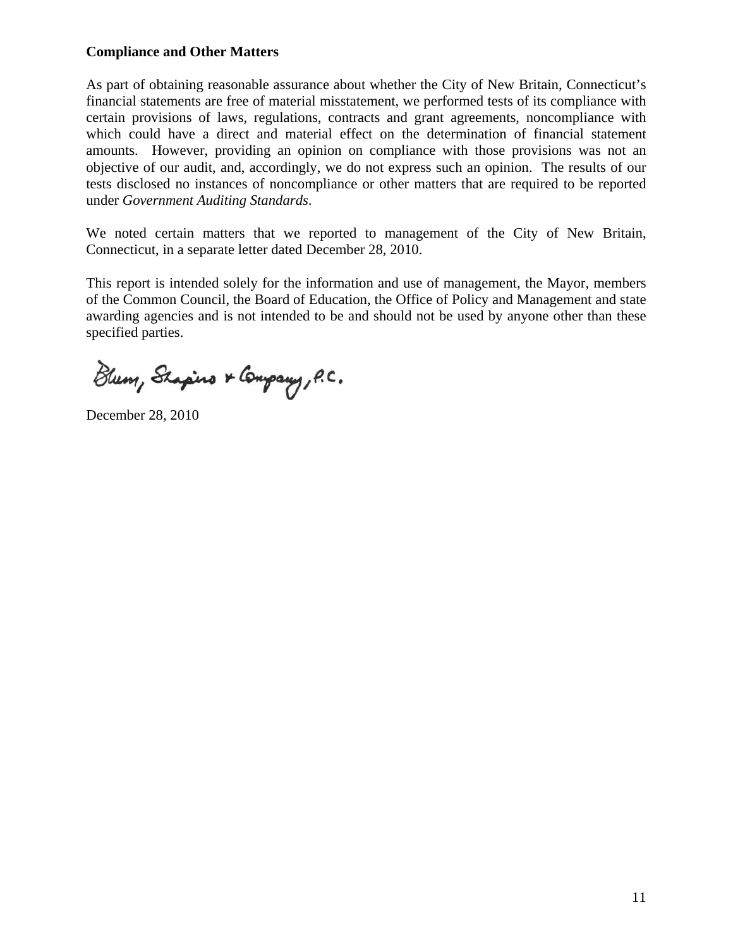#### **Compliance and Other Matters**

As part of obtaining reasonable assurance about whether the City of New Britain, Connecticut's financial statements are free of material misstatement, we performed tests of its compliance with certain provisions of laws, regulations, contracts and grant agreements, noncompliance with which could have a direct and material effect on the determination of financial statement amounts. However, providing an opinion on compliance with those provisions was not an objective of our audit, and, accordingly, we do not express such an opinion. The results of our tests disclosed no instances of noncompliance or other matters that are required to be reported under *Government Auditing Standards*.

We noted certain matters that we reported to management of the City of New Britain, Connecticut, in a separate letter dated December 28, 2010.

This report is intended solely for the information and use of management, the Mayor, members of the Common Council, the Board of Education, the Office of Policy and Management and state awarding agencies and is not intended to be and should not be used by anyone other than these specified parties.

Blum, Shapino & Company, P.C.

December 28, 2010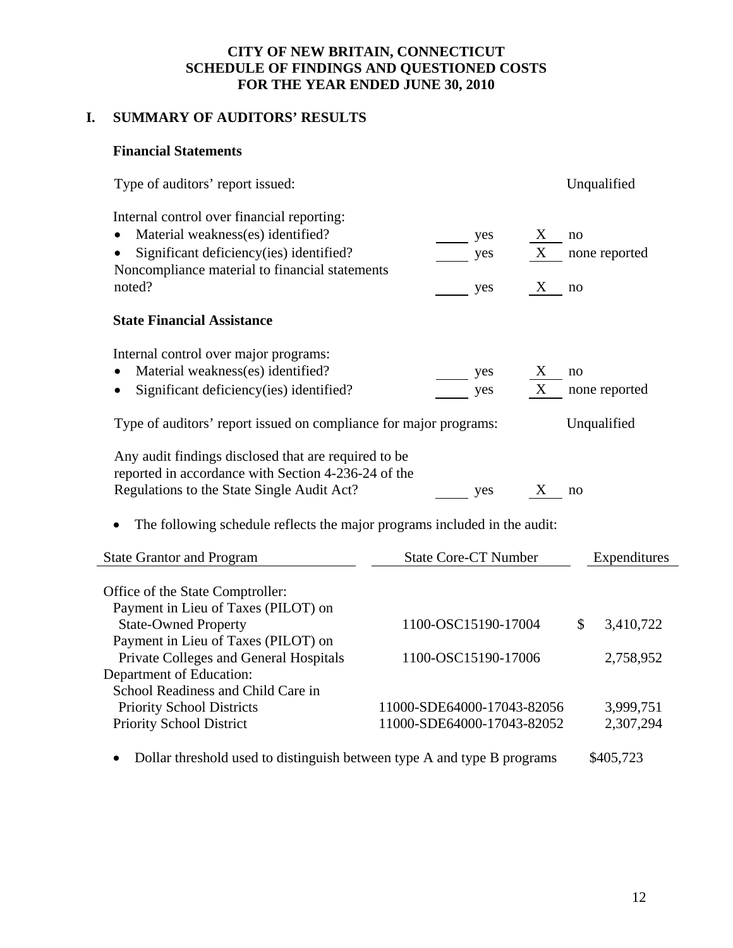#### **CITY OF NEW BRITAIN, CONNECTICUT SCHEDULE OF FINDINGS AND QUESTIONED COSTS FOR THE YEAR ENDED JUNE 30, 2010**

## **I. SUMMARY OF AUDITORS' RESULTS**

#### **Financial Statements**

| Type of auditors' report issued:                                                                            |                             |             |    | Unqualified   |
|-------------------------------------------------------------------------------------------------------------|-----------------------------|-------------|----|---------------|
| Internal control over financial reporting:                                                                  |                             |             |    |               |
| Material weakness(es) identified?<br>$\bullet$                                                              | yes                         | X           | no |               |
| Significant deficiency(ies) identified?                                                                     | yes                         | $\mathbf X$ |    | none reported |
| Noncompliance material to financial statements                                                              |                             |             |    |               |
| noted?                                                                                                      | yes                         | X           | no |               |
| <b>State Financial Assistance</b>                                                                           |                             |             |    |               |
| Internal control over major programs:                                                                       |                             |             |    |               |
| Material weakness(es) identified?                                                                           | yes                         | X           | no |               |
| Significant deficiency (ies) identified?                                                                    | yes                         | X           |    | none reported |
| Type of auditors' report issued on compliance for major programs:                                           |                             |             |    | Unqualified   |
| Any audit findings disclosed that are required to be<br>reported in accordance with Section 4-236-24 of the |                             |             |    |               |
| Regulations to the State Single Audit Act?                                                                  | yes                         | X           | no |               |
| The following schedule reflects the major programs included in the audit:                                   |                             |             |    |               |
| <b>State Grantor and Program</b>                                                                            | <b>State Core-CT Number</b> |             |    | Expenditures  |
| Office of the State Comptroller:                                                                            |                             |             |    |               |
| Payment in Lieu of Taxes (PILOT) on                                                                         |                             |             |    |               |
| <b>State-Owned Property</b>                                                                                 | 1100-OSC15190-17004         |             | \$ | 3,410,722     |
| Payment in Lieu of Taxes (PILOT) on                                                                         |                             |             |    |               |
| Private Colleges and General Hospitals                                                                      | 1100-OSC15190-17006         |             |    | 2,758,952     |
| Department of Education:                                                                                    |                             |             |    |               |
| School Readiness and Child Care in                                                                          |                             |             |    |               |
| <b>Priority School Districts</b>                                                                            | 11000-SDE64000-17043-82056  |             |    | 3,999,751     |
| Priority School District                                                                                    | 11000-SDE64000-17043-82052  |             |    | 2,307,294     |
| Dollar threshold used to distinguish between type A and type B programs                                     |                             |             |    | \$405,723     |